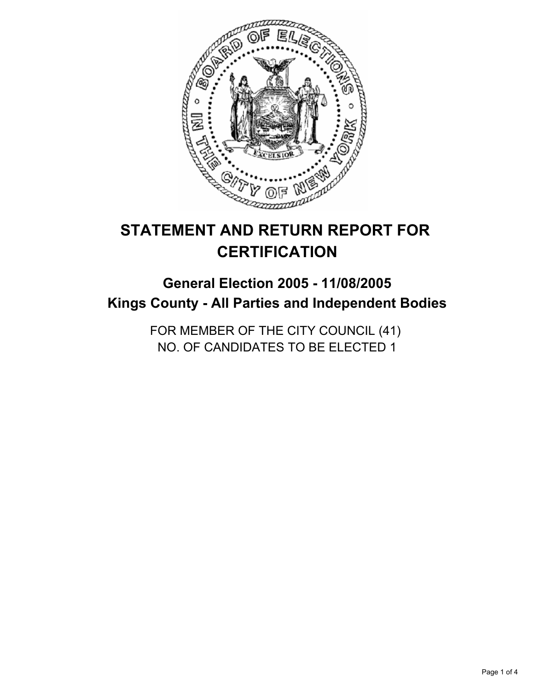

# **STATEMENT AND RETURN REPORT FOR CERTIFICATION**

# **General Election 2005 - 11/08/2005 Kings County - All Parties and Independent Bodies**

FOR MEMBER OF THE CITY COUNCIL (41) NO. OF CANDIDATES TO BE ELECTED 1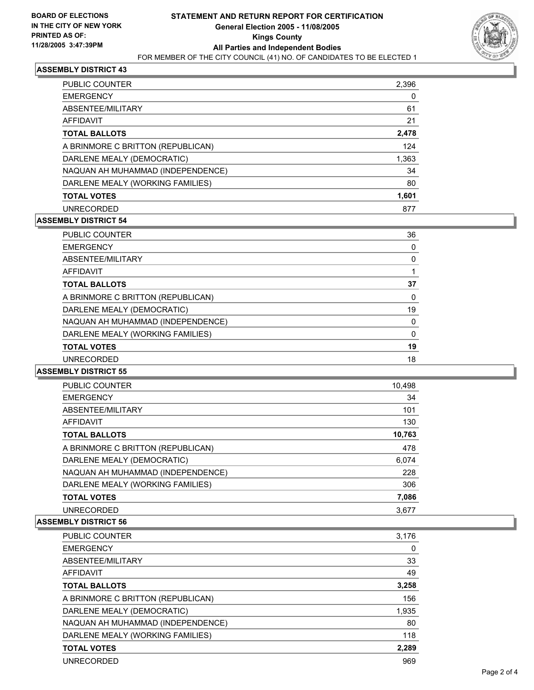

#### **ASSEMBLY DISTRICT 43**

| <b>PUBLIC COUNTER</b>             | 2,396 |
|-----------------------------------|-------|
| <b>EMERGENCY</b>                  | 0     |
| ABSENTEE/MILITARY                 | 61    |
| AFFIDAVIT                         | 21    |
| <b>TOTAL BALLOTS</b>              | 2,478 |
| A BRINMORE C BRITTON (REPUBLICAN) | 124   |
| DARLENE MEALY (DEMOCRATIC)        | 1,363 |
| NAQUAN AH MUHAMMAD (INDEPENDENCE) | 34    |
| DARLENE MEALY (WORKING FAMILIES)  | 80    |
| <b>TOTAL VOTES</b>                | 1,601 |
| <b>UNRECORDED</b>                 | 877   |

## **ASSEMBLY DISTRICT 54**

| <b>PUBLIC COUNTER</b>             | 36 |  |
|-----------------------------------|----|--|
| <b>EMERGENCY</b>                  |    |  |
| ABSENTEE/MILITARY                 |    |  |
| AFFIDAVIT                         |    |  |
| <b>TOTAL BALLOTS</b>              | 37 |  |
| A BRINMORE C BRITTON (REPUBLICAN) | 0  |  |
| DARLENE MEALY (DEMOCRATIC)        | 19 |  |
| NAQUAN AH MUHAMMAD (INDEPENDENCE) |    |  |
| DARLENE MEALY (WORKING FAMILIES)  |    |  |
| <b>TOTAL VOTES</b>                | 19 |  |
| <b>UNRECORDED</b>                 | 18 |  |

### **ASSEMBLY DISTRICT 55**

| <b>PUBLIC COUNTER</b>             | 10,498 |  |
|-----------------------------------|--------|--|
| <b>EMERGENCY</b>                  | 34     |  |
| ABSENTEE/MILITARY                 | 101    |  |
| AFFIDAVIT                         | 130    |  |
| <b>TOTAL BALLOTS</b>              | 10,763 |  |
| A BRINMORE C BRITTON (REPUBLICAN) | 478    |  |
| DARLENE MEALY (DEMOCRATIC)        | 6,074  |  |
| NAQUAN AH MUHAMMAD (INDEPENDENCE) | 228    |  |
| DARLENE MEALY (WORKING FAMILIES)  | 306    |  |
| <b>TOTAL VOTES</b>                | 7,086  |  |
| <b>UNRECORDED</b>                 | 3.677  |  |

#### **ASSEMBLY DISTRICT 56**

| <b>PUBLIC COUNTER</b>             | 3,176 |
|-----------------------------------|-------|
| <b>EMERGENCY</b>                  | 0     |
| ABSENTEE/MILITARY                 | 33    |
| AFFIDAVIT                         | 49    |
| <b>TOTAL BALLOTS</b>              | 3,258 |
| A BRINMORE C BRITTON (REPUBLICAN) | 156   |
| DARLENE MEALY (DEMOCRATIC)        | 1,935 |
| NAQUAN AH MUHAMMAD (INDEPENDENCE) | 80    |
| DARLENE MEALY (WORKING FAMILIES)  | 118   |
| <b>TOTAL VOTES</b>                | 2,289 |
| <b>UNRECORDED</b>                 | 969   |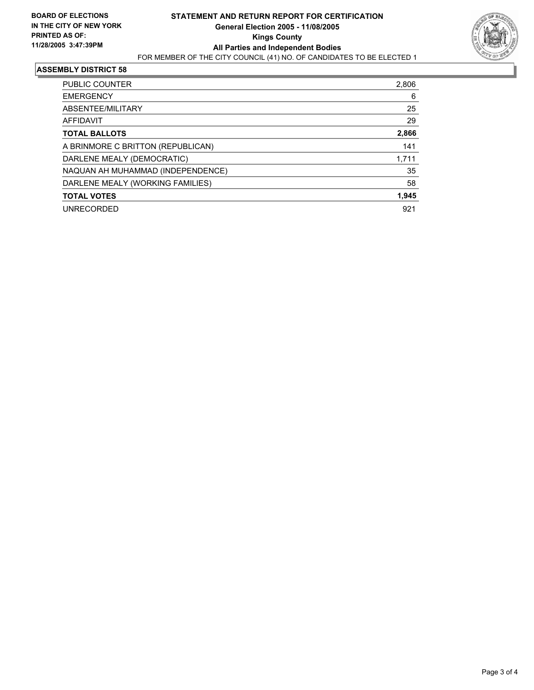

#### **ASSEMBLY DISTRICT 58**

| PUBLIC COUNTER                    | 2,806 |
|-----------------------------------|-------|
| <b>EMERGENCY</b>                  | 6     |
| ABSENTEE/MILITARY                 | 25    |
| <b>AFFIDAVIT</b>                  | 29    |
| <b>TOTAL BALLOTS</b>              | 2,866 |
| A BRINMORE C BRITTON (REPUBLICAN) | 141   |
| DARLENE MEALY (DEMOCRATIC)        | 1,711 |
| NAQUAN AH MUHAMMAD (INDEPENDENCE) | 35    |
| DARLENE MEALY (WORKING FAMILIES)  | 58    |
| <b>TOTAL VOTES</b>                | 1,945 |
| <b>UNRECORDED</b>                 | 921   |